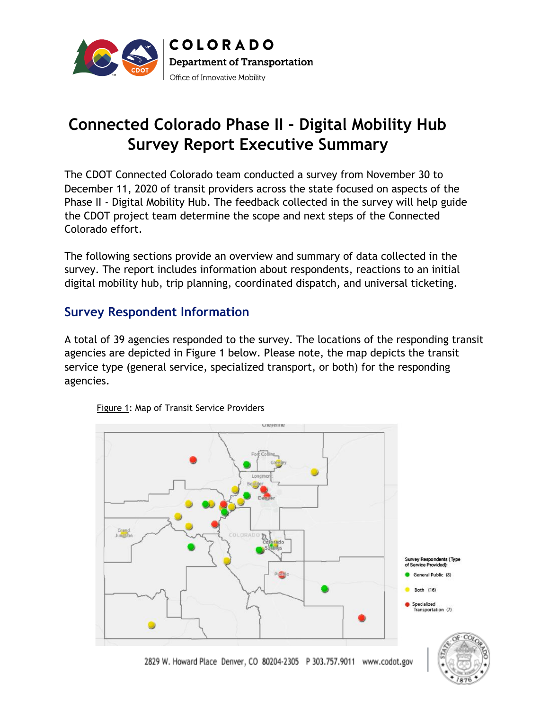

# **Connected Colorado Phase II - Digital Mobility Hub Survey Report Executive Summary**

The CDOT Connected Colorado team conducted a survey from November 30 to December 11, 2020 of transit providers across the state focused on aspects of the Phase II - Digital Mobility Hub. The feedback collected in the survey will help guide the CDOT project team determine the scope and next steps of the Connected Colorado effort.

The following sections provide an overview and summary of data collected in the survey. The report includes information about respondents, reactions to an initial digital mobility hub, trip planning, coordinated dispatch, and universal ticketing.

## **Survey Respondent Information**

A total of 39 agencies responded to the survey. The locations of the responding transit agencies are depicted in Figure 1 below. Please note, the map depicts the transit service type (general service, specialized transport, or both) for the responding agencies.



Figure 1: Map of Transit Service Providers

2829 W. Howard Place Denver, CO 80204-2305 P 303.757.9011 www.codot.gov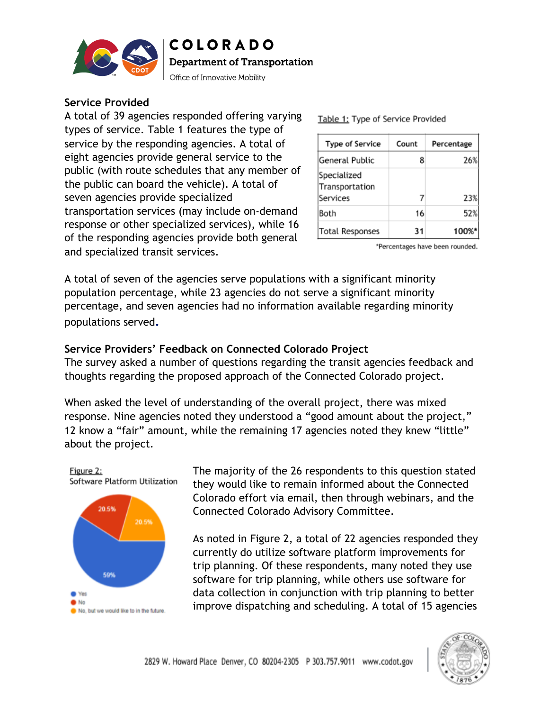

**COLORADO Department of Transportation** 

Office of Innovative Mobility

#### **Service Provided**

A total of 39 agencies responded offering varying types of service. Table 1 features the type of service by the responding agencies. A total of eight agencies provide general service to the public (with route schedules that any member of the public can board the vehicle). A total of seven agencies provide specialized transportation services (may include on-demand response or other specialized services), while 16 of the responding agencies provide both general and specialized transit services.

Table 1: Type of Service Provided

| Type of Service                           | Count | Percentage |
|-------------------------------------------|-------|------------|
| General Public                            | 8     | 26%        |
| Specialized<br>Transportation<br>Services |       | 23%        |
| Both                                      | 16    | 52%        |
| <b>Total Responses</b>                    | 31    | 100%       |

\*Percentages have been rounded.

A total of seven of the agencies serve populations with a significant minority population percentage, while 23 agencies do not serve a significant minority percentage, and seven agencies had no information available regarding minority populations served**.**

#### **Service Providers' Feedback on Connected Colorado Project**

The survey asked a number of questions regarding the transit agencies feedback and thoughts regarding the proposed approach of the Connected Colorado project.

When asked the level of understanding of the overall project, there was mixed response. Nine agencies noted they understood a "good amount about the project," 12 know a "fair" amount, while the remaining 17 agencies noted they knew "little" about the project.



The majority of the 26 respondents to this question stated they would like to remain informed about the Connected Colorado effort via email, then through webinars, and the Connected Colorado Advisory Committee.

As noted in Figure 2, a total of 22 agencies responded they currently do utilize software platform improvements for trip planning. Of these respondents, many noted they use software for trip planning, while others use software for data collection in conjunction with trip planning to better improve dispatching and scheduling. A total of 15 agencies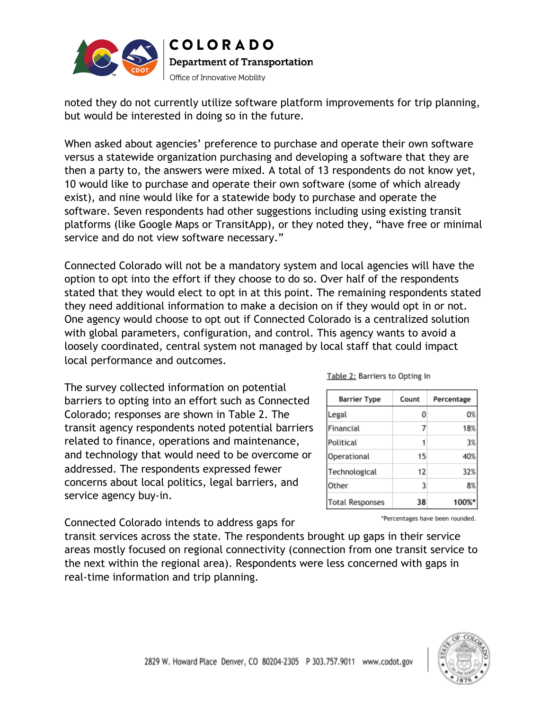

noted they do not currently utilize software platform improvements for trip planning, but would be interested in doing so in the future.

When asked about agencies' preference to purchase and operate their own software versus a statewide organization purchasing and developing a software that they are then a party to, the answers were mixed. A total of 13 respondents do not know yet, 10 would like to purchase and operate their own software (some of which already exist), and nine would like for a statewide body to purchase and operate the software. Seven respondents had other suggestions including using existing transit platforms (like Google Maps or TransitApp), or they noted they, "have free or minimal service and do not view software necessary."

Connected Colorado will not be a mandatory system and local agencies will have the option to opt into the effort if they choose to do so. Over half of the respondents stated that they would elect to opt in at this point. The remaining respondents stated they need additional information to make a decision on if they would opt in or not. One agency would choose to opt out if Connected Colorado is a centralized solution with global parameters, configuration, and control. This agency wants to avoid a loosely coordinated, central system not managed by local staff that could impact local performance and outcomes.

The survey collected information on potential barriers to opting into an effort such as Connected Colorado; responses are shown in Table 2. The transit agency respondents noted potential barriers related to finance, operations and maintenance, and technology that would need to be overcome or addressed. The respondents expressed fewer concerns about local politics, legal barriers, and service agency buy-in.

Connected Colorado intends to address gaps for

transit services across the state. The respondents brought up gaps in their service areas mostly focused on regional connectivity (connection from one transit service to the next within the regional area). Respondents were less concerned with gaps in real-time information and trip planning.

Table 2: Barriers to Opting In

| Barrier Type           | Count | Percentage |
|------------------------|-------|------------|
| Legal                  | 0     | 0%         |
| Financial              |       | 18%        |
| Political              |       | 3%         |
| Operational            | 15    | 40%        |
| Technological          | 12    | 32%        |
| Other                  | 3     | 8%         |
| <b>Total Responses</b> | 38    | 100%       |

\*Percentages have been rounded.

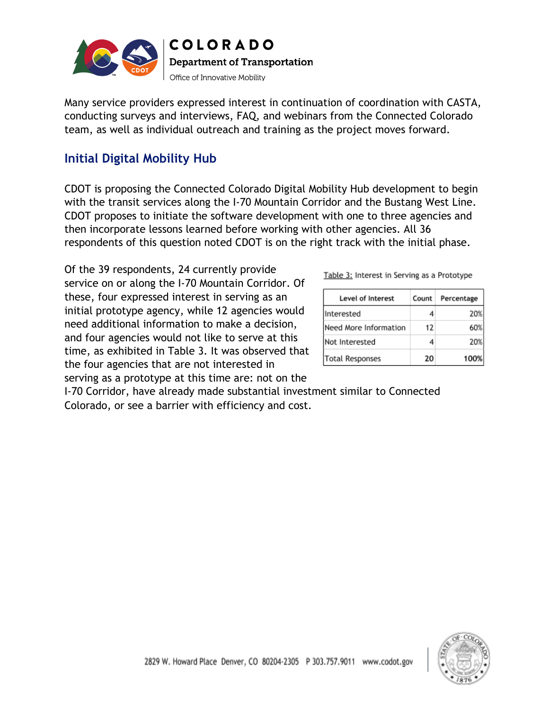

Many service providers expressed interest in continuation of coordination with CASTA, conducting surveys and interviews, FAQ, and webinars from the Connected Colorado team, as well as individual outreach and training as the project moves forward.

# **Initial Digital Mobility Hub**

CDOT is proposing the Connected Colorado Digital Mobility Hub development to begin with the transit services along the I-70 Mountain Corridor and the Bustang West Line. CDOT proposes to initiate the software development with one to three agencies and then incorporate lessons learned before working with other agencies. All 36 respondents of this question noted CDOT is on the right track with the initial phase.

Of the 39 respondents, 24 currently provide service on or along the I-70 Mountain Corridor. Of these, four expressed interest in serving as an initial prototype agency, while 12 agencies would need additional information to make a decision, and four agencies would not like to serve at this time, as exhibited in Table 3. It was observed that the four agencies that are not interested in serving as a prototype at this time are: not on the

| Level of Interest      | Count | Percentage |
|------------------------|-------|------------|
| nterested              |       | 20%        |
| lNeed More Information | 12    | 60%        |
| Not Interested         |       | 20%        |
| Total Responses        | 20    | 1009       |

I-70 Corridor, have already made substantial investment similar to Connected Colorado, or see a barrier with efficiency and cost.

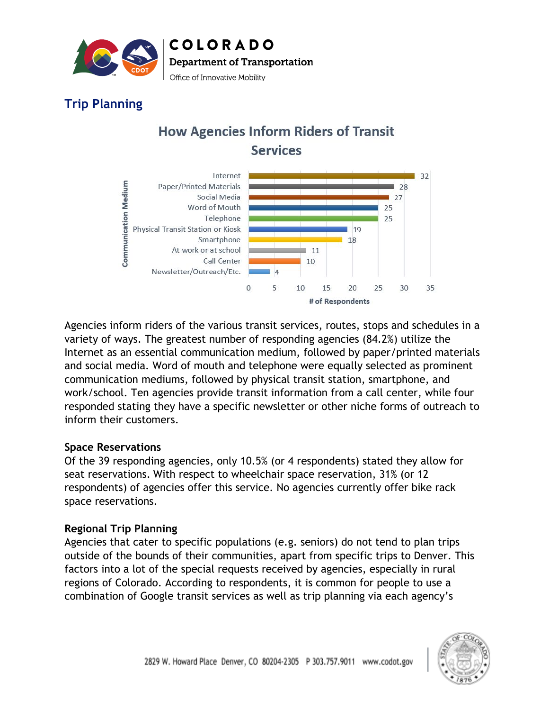

# **Trip Planning**

# **How Agencies Inform Riders of Transit Services**



Agencies inform riders of the various transit services, routes, stops and schedules in a variety of ways. The greatest number of responding agencies (84.2%) utilize the Internet as an essential communication medium, followed by paper/printed materials and social media. Word of mouth and telephone were equally selected as prominent communication mediums, followed by physical transit station, smartphone, and work/school. Ten agencies provide transit information from a call center, while four responded stating they have a specific newsletter or other niche forms of outreach to inform their customers.

#### **Space Reservations**

Of the 39 responding agencies, only 10.5% (or 4 respondents) stated they allow for seat reservations. With respect to wheelchair space reservation, 31% (or 12 respondents) of agencies offer this service. No agencies currently offer bike rack space reservations.

#### **Regional Trip Planning**

Agencies that cater to specific populations (e.g. seniors) do not tend to plan trips outside of the bounds of their communities, apart from specific trips to Denver. This factors into a lot of the special requests received by agencies, especially in rural regions of Colorado. According to respondents, it is common for people to use a combination of Google transit services as well as trip planning via each agency's

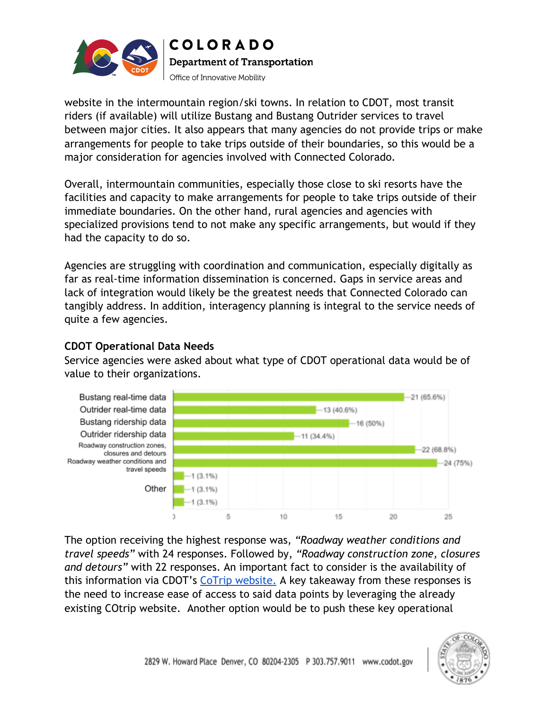

website in the intermountain region/ski towns. In relation to CDOT, most transit riders (if available) will utilize Bustang and Bustang Outrider services to travel between major cities. It also appears that many agencies do not provide trips or make arrangements for people to take trips outside of their boundaries, so this would be a major consideration for agencies involved with Connected Colorado.

Overall, intermountain communities, especially those close to ski resorts have the facilities and capacity to make arrangements for people to take trips outside of their immediate boundaries. On the other hand, rural agencies and agencies with specialized provisions tend to not make any specific arrangements, but would if they had the capacity to do so.

Agencies are struggling with coordination and communication, especially digitally as far as real-time information dissemination is concerned. Gaps in service areas and lack of integration would likely be the greatest needs that Connected Colorado can tangibly address. In addition, interagency planning is integral to the service needs of quite a few agencies.

### **CDOT Operational Data Needs**

Service agencies were asked about what type of CDOT operational data would be of value to their organizations.



The option receiving the highest response was, *"Roadway weather conditions and travel speeds"* with 24 responses. Followed by, *"Roadway construction zone, closures and detours"* with 22 responses. An important fact to consider is the availability of this information via CDOT's [CoTrip website.](https://www.cotrip.org/home.htm) A key takeaway from these responses is the need to increase ease of access to said data points by leveraging the already existing COtrip website. Another option would be to push these key operational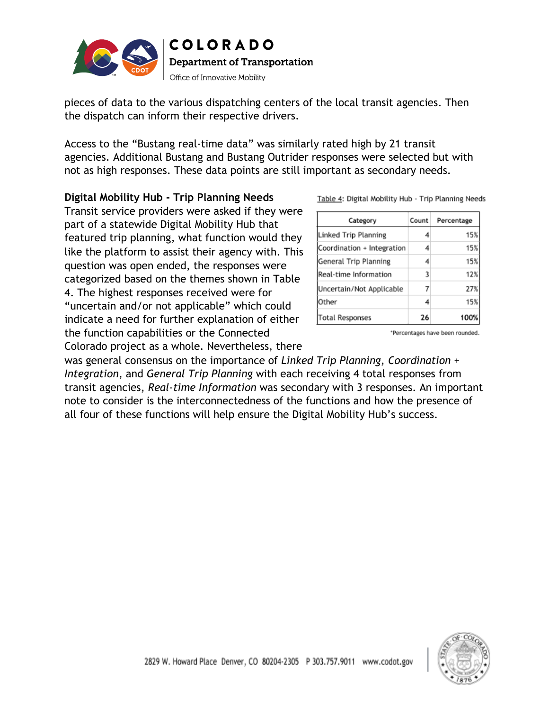

pieces of data to the various dispatching centers of the local transit agencies. Then the dispatch can inform their respective drivers.

Access to the "Bustang real-time data" was similarly rated high by 21 transit agencies. Additional Bustang and Bustang Outrider responses were selected but with not as high responses. These data points are still important as secondary needs.

#### **Digital Mobility Hub - Trip Planning Needs**

Transit service providers were asked if they were part of a statewide Digital Mobility Hub that featured trip planning, what function would they like the platform to assist their agency with. This question was open ended, the responses were categorized based on the themes shown in Table 4. The highest responses received were for "uncertain and/or not applicable" which could indicate a need for further explanation of either the function capabilities or the Connected

Colorado project as a whole. Nevertheless, there was general consensus on the importance of *Linked Trip Planning*, *Coordination + Integration*, and *General Trip Planning* with each receiving 4 total responses from transit agencies, *Real-time Information* was secondary with 3 responses. An important note to consider is the interconnectedness of the functions and how the presence of all four of these functions will help ensure the Digital Mobility Hub's success.

Table 4: Digital Mobility Hub - Trip Planning Needs

| Category                   | Count | Percentage |
|----------------------------|-------|------------|
| Linked Trip Planning       | 4     | 15%        |
| Coordination + Integration | 4     | 15%        |
| General Trip Planning      | 4     | 15%        |
| Real-time Information      | 3     | 12%        |
| Uncertain/Not Applicable   | 7     | 27%        |
| Other                      | 4     | 15%        |
| <b>Total Responses</b>     | 26    | 100%       |

\*Percentages have been rounded.

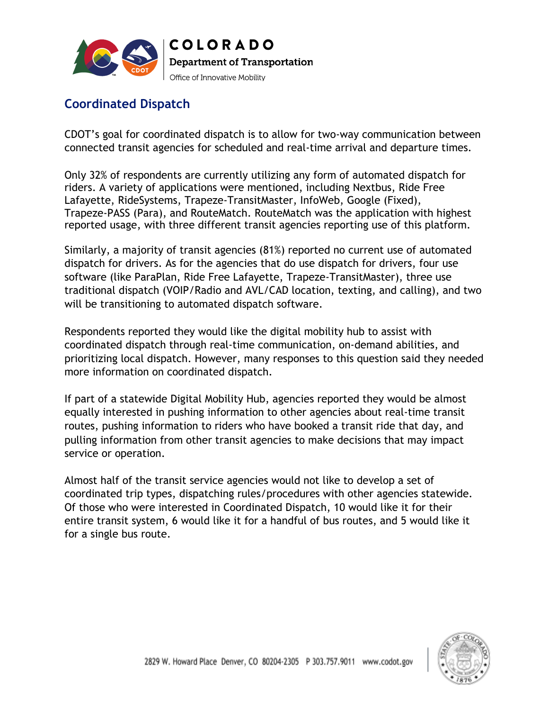

# **Coordinated Dispatch**

CDOT's goal for coordinated dispatch is to allow for two-way communication between connected transit agencies for scheduled and real-time arrival and departure times.

Only 32% of respondents are currently utilizing any form of automated dispatch for riders. A variety of applications were mentioned, including Nextbus, Ride Free Lafayette, RideSystems, Trapeze-TransitMaster, InfoWeb, Google (Fixed), Trapeze-PASS (Para), and RouteMatch. RouteMatch was the application with highest reported usage, with three different transit agencies reporting use of this platform.

Similarly, a majority of transit agencies (81%) reported no current use of automated dispatch for drivers. As for the agencies that do use dispatch for drivers, four use software (like ParaPlan, Ride Free Lafayette, Trapeze-TransitMaster), three use traditional dispatch (VOIP/Radio and AVL/CAD location, texting, and calling), and two will be transitioning to automated dispatch software.

Respondents reported they would like the digital mobility hub to assist with coordinated dispatch through real-time communication, on-demand abilities, and prioritizing local dispatch. However, many responses to this question said they needed more information on coordinated dispatch.

If part of a statewide Digital Mobility Hub, agencies reported they would be almost equally interested in pushing information to other agencies about real-time transit routes, pushing information to riders who have booked a transit ride that day, and pulling information from other transit agencies to make decisions that may impact service or operation.

Almost half of the transit service agencies would not like to develop a set of coordinated trip types, dispatching rules/procedures with other agencies statewide. Of those who were interested in Coordinated Dispatch, 10 would like it for their entire transit system, 6 would like it for a handful of bus routes, and 5 would like it for a single bus route.